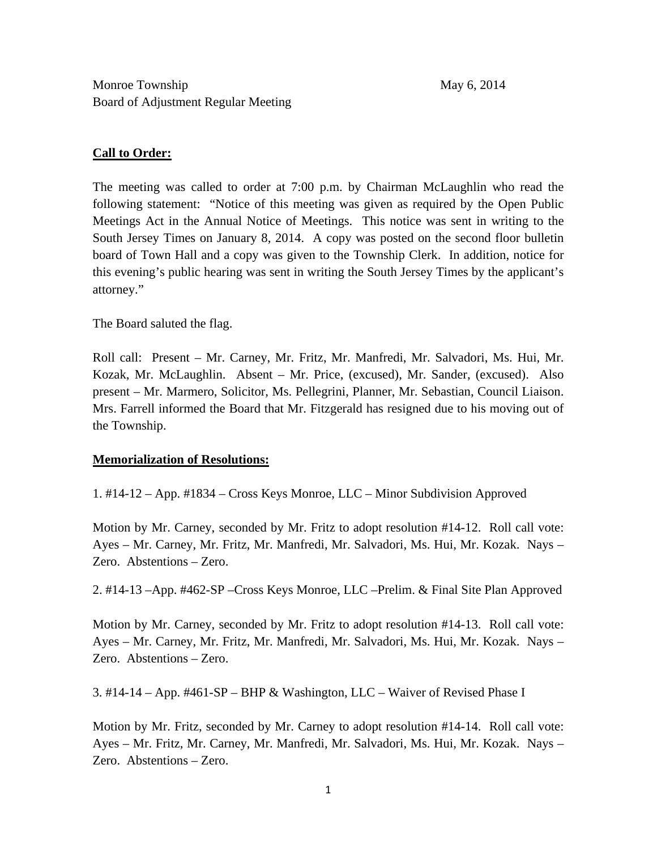## **Call to Order:**

The meeting was called to order at 7:00 p.m. by Chairman McLaughlin who read the following statement: "Notice of this meeting was given as required by the Open Public Meetings Act in the Annual Notice of Meetings. This notice was sent in writing to the South Jersey Times on January 8, 2014. A copy was posted on the second floor bulletin board of Town Hall and a copy was given to the Township Clerk. In addition, notice for this evening's public hearing was sent in writing the South Jersey Times by the applicant's attorney."

The Board saluted the flag.

Roll call: Present – Mr. Carney, Mr. Fritz, Mr. Manfredi, Mr. Salvadori, Ms. Hui, Mr. Kozak, Mr. McLaughlin. Absent – Mr. Price, (excused), Mr. Sander, (excused). Also present – Mr. Marmero, Solicitor, Ms. Pellegrini, Planner, Mr. Sebastian, Council Liaison. Mrs. Farrell informed the Board that Mr. Fitzgerald has resigned due to his moving out of the Township.

## **Memorialization of Resolutions:**

1. #14-12 – App. #1834 – Cross Keys Monroe, LLC – Minor Subdivision Approved

Motion by Mr. Carney, seconded by Mr. Fritz to adopt resolution #14-12. Roll call vote: Ayes – Mr. Carney, Mr. Fritz, Mr. Manfredi, Mr. Salvadori, Ms. Hui, Mr. Kozak. Nays – Zero. Abstentions – Zero.

2. #14-13 –App. #462-SP –Cross Keys Monroe, LLC –Prelim. & Final Site Plan Approved

Motion by Mr. Carney, seconded by Mr. Fritz to adopt resolution #14-13. Roll call vote: Ayes – Mr. Carney, Mr. Fritz, Mr. Manfredi, Mr. Salvadori, Ms. Hui, Mr. Kozak. Nays – Zero. Abstentions – Zero.

3. #14-14 – App. #461-SP – BHP & Washington, LLC – Waiver of Revised Phase I

Motion by Mr. Fritz, seconded by Mr. Carney to adopt resolution #14-14. Roll call vote: Ayes – Mr. Fritz, Mr. Carney, Mr. Manfredi, Mr. Salvadori, Ms. Hui, Mr. Kozak. Nays – Zero. Abstentions – Zero.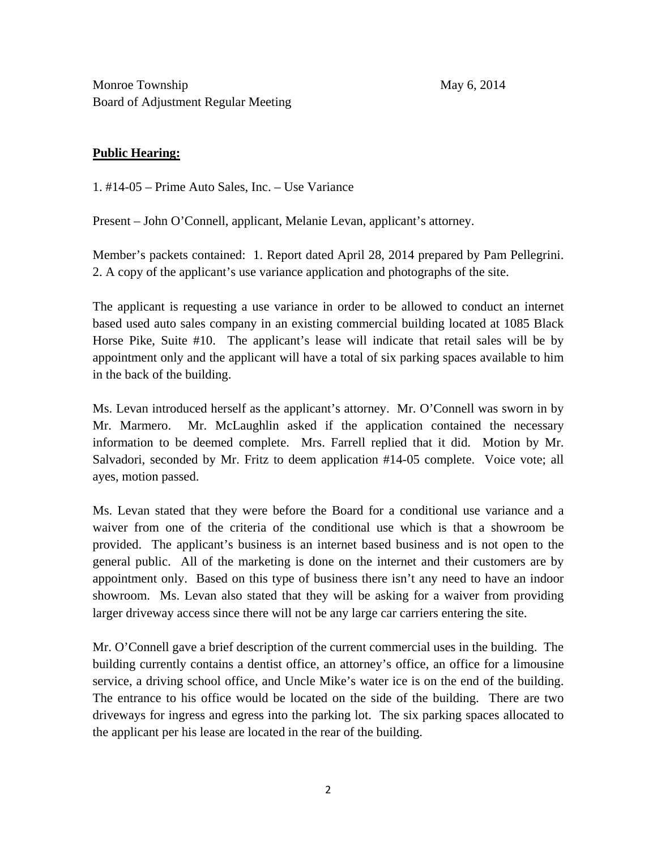Monroe Township May 6, 2014 Board of Adjustment Regular Meeting

# **Public Hearing:**

1. #14-05 – Prime Auto Sales, Inc. – Use Variance

Present – John O'Connell, applicant, Melanie Levan, applicant's attorney.

Member's packets contained: 1. Report dated April 28, 2014 prepared by Pam Pellegrini. 2. A copy of the applicant's use variance application and photographs of the site.

The applicant is requesting a use variance in order to be allowed to conduct an internet based used auto sales company in an existing commercial building located at 1085 Black Horse Pike, Suite #10. The applicant's lease will indicate that retail sales will be by appointment only and the applicant will have a total of six parking spaces available to him in the back of the building.

Ms. Levan introduced herself as the applicant's attorney. Mr. O'Connell was sworn in by Mr. Marmero. Mr. McLaughlin asked if the application contained the necessary information to be deemed complete. Mrs. Farrell replied that it did. Motion by Mr. Salvadori, seconded by Mr. Fritz to deem application #14-05 complete. Voice vote; all ayes, motion passed.

Ms. Levan stated that they were before the Board for a conditional use variance and a waiver from one of the criteria of the conditional use which is that a showroom be provided. The applicant's business is an internet based business and is not open to the general public. All of the marketing is done on the internet and their customers are by appointment only. Based on this type of business there isn't any need to have an indoor showroom. Ms. Levan also stated that they will be asking for a waiver from providing larger driveway access since there will not be any large car carriers entering the site.

Mr. O'Connell gave a brief description of the current commercial uses in the building. The building currently contains a dentist office, an attorney's office, an office for a limousine service, a driving school office, and Uncle Mike's water ice is on the end of the building. The entrance to his office would be located on the side of the building. There are two driveways for ingress and egress into the parking lot. The six parking spaces allocated to the applicant per his lease are located in the rear of the building.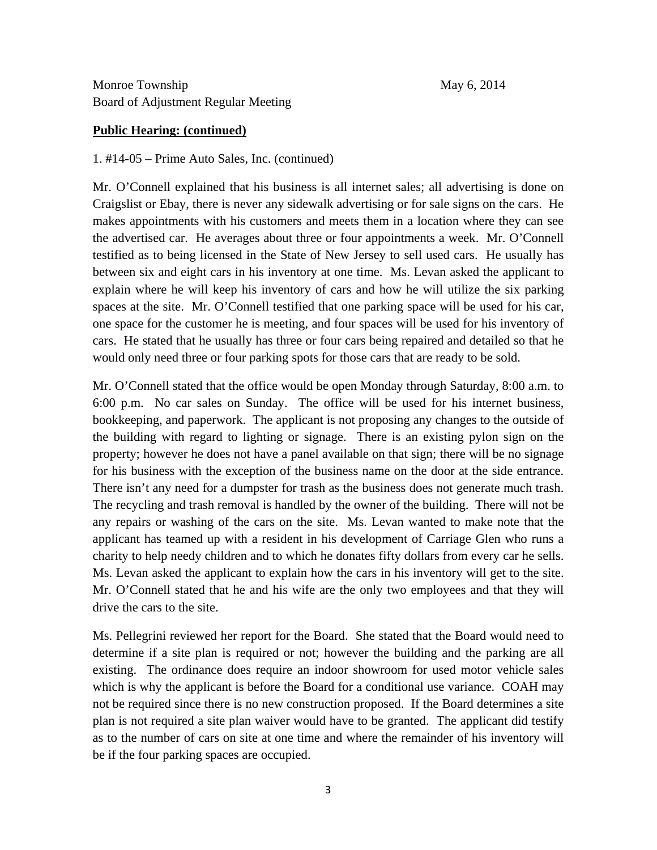Monroe Township May 6, 2014 Board of Adjustment Regular Meeting

#### **Public Hearing: (continued)**

1. #14-05 – Prime Auto Sales, Inc. (continued)

Mr. O'Connell explained that his business is all internet sales; all advertising is done on Craigslist or Ebay, there is never any sidewalk advertising or for sale signs on the cars. He makes appointments with his customers and meets them in a location where they can see the advertised car. He averages about three or four appointments a week. Mr. O'Connell testified as to being licensed in the State of New Jersey to sell used cars. He usually has between six and eight cars in his inventory at one time. Ms. Levan asked the applicant to explain where he will keep his inventory of cars and how he will utilize the six parking spaces at the site. Mr. O'Connell testified that one parking space will be used for his car, one space for the customer he is meeting, and four spaces will be used for his inventory of cars. He stated that he usually has three or four cars being repaired and detailed so that he would only need three or four parking spots for those cars that are ready to be sold.

Mr. O'Connell stated that the office would be open Monday through Saturday, 8:00 a.m. to 6:00 p.m. No car sales on Sunday. The office will be used for his internet business, bookkeeping, and paperwork. The applicant is not proposing any changes to the outside of the building with regard to lighting or signage. There is an existing pylon sign on the property; however he does not have a panel available on that sign; there will be no signage for his business with the exception of the business name on the door at the side entrance. There isn't any need for a dumpster for trash as the business does not generate much trash. The recycling and trash removal is handled by the owner of the building. There will not be any repairs or washing of the cars on the site. Ms. Levan wanted to make note that the applicant has teamed up with a resident in his development of Carriage Glen who runs a charity to help needy children and to which he donates fifty dollars from every car he sells. Ms. Levan asked the applicant to explain how the cars in his inventory will get to the site. Mr. O'Connell stated that he and his wife are the only two employees and that they will drive the cars to the site.

Ms. Pellegrini reviewed her report for the Board. She stated that the Board would need to determine if a site plan is required or not; however the building and the parking are all existing. The ordinance does require an indoor showroom for used motor vehicle sales which is why the applicant is before the Board for a conditional use variance. COAH may not be required since there is no new construction proposed. If the Board determines a site plan is not required a site plan waiver would have to be granted. The applicant did testify as to the number of cars on site at one time and where the remainder of his inventory will be if the four parking spaces are occupied.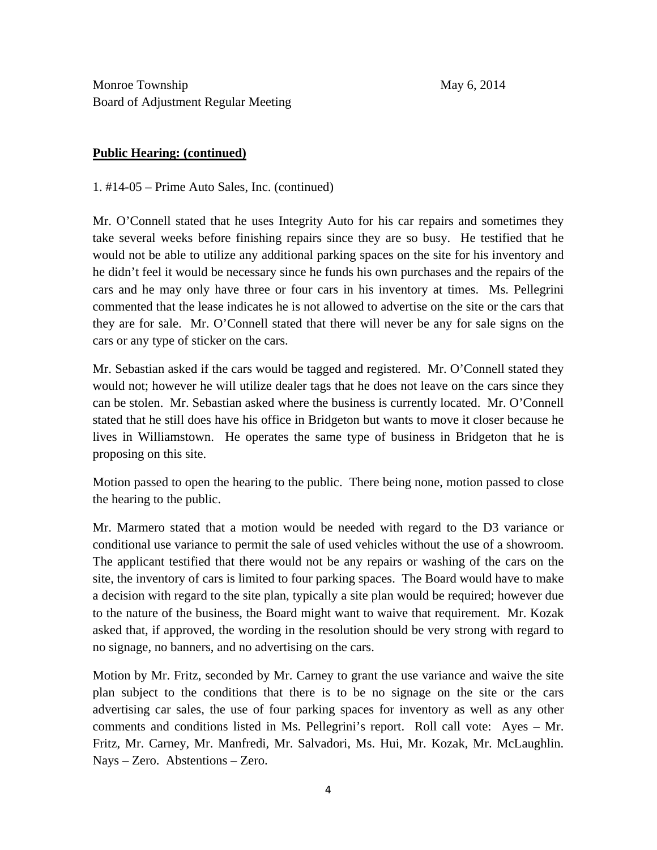Monroe Township May 6, 2014 Board of Adjustment Regular Meeting

### **Public Hearing: (continued)**

1. #14-05 – Prime Auto Sales, Inc. (continued)

Mr. O'Connell stated that he uses Integrity Auto for his car repairs and sometimes they take several weeks before finishing repairs since they are so busy. He testified that he would not be able to utilize any additional parking spaces on the site for his inventory and he didn't feel it would be necessary since he funds his own purchases and the repairs of the cars and he may only have three or four cars in his inventory at times. Ms. Pellegrini commented that the lease indicates he is not allowed to advertise on the site or the cars that they are for sale. Mr. O'Connell stated that there will never be any for sale signs on the cars or any type of sticker on the cars.

Mr. Sebastian asked if the cars would be tagged and registered. Mr. O'Connell stated they would not; however he will utilize dealer tags that he does not leave on the cars since they can be stolen. Mr. Sebastian asked where the business is currently located. Mr. O'Connell stated that he still does have his office in Bridgeton but wants to move it closer because he lives in Williamstown. He operates the same type of business in Bridgeton that he is proposing on this site.

Motion passed to open the hearing to the public. There being none, motion passed to close the hearing to the public.

Mr. Marmero stated that a motion would be needed with regard to the D3 variance or conditional use variance to permit the sale of used vehicles without the use of a showroom. The applicant testified that there would not be any repairs or washing of the cars on the site, the inventory of cars is limited to four parking spaces. The Board would have to make a decision with regard to the site plan, typically a site plan would be required; however due to the nature of the business, the Board might want to waive that requirement. Mr. Kozak asked that, if approved, the wording in the resolution should be very strong with regard to no signage, no banners, and no advertising on the cars.

Motion by Mr. Fritz, seconded by Mr. Carney to grant the use variance and waive the site plan subject to the conditions that there is to be no signage on the site or the cars advertising car sales, the use of four parking spaces for inventory as well as any other comments and conditions listed in Ms. Pellegrini's report. Roll call vote: Ayes – Mr. Fritz, Mr. Carney, Mr. Manfredi, Mr. Salvadori, Ms. Hui, Mr. Kozak, Mr. McLaughlin. Nays – Zero. Abstentions – Zero.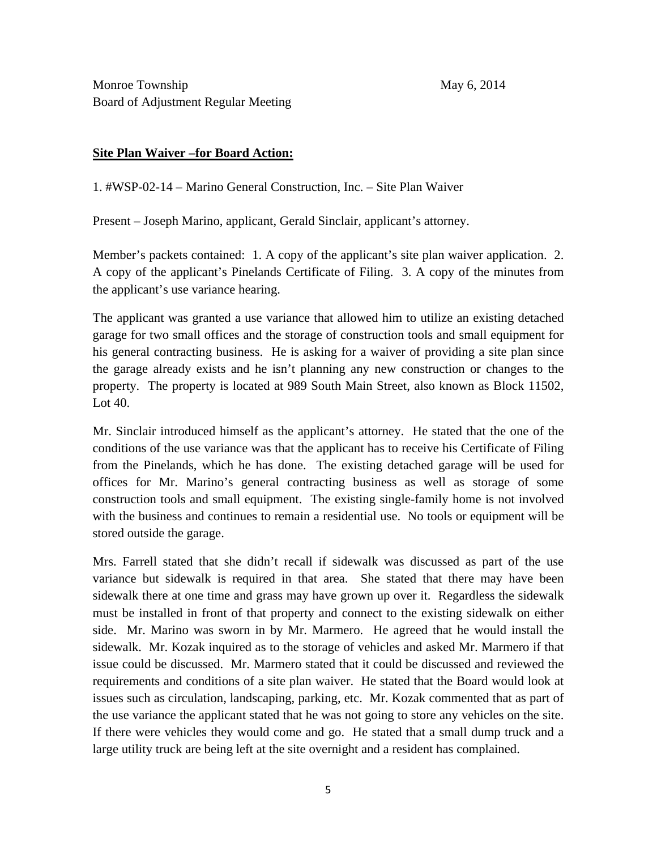## **Site Plan Waiver –for Board Action:**

1. #WSP-02-14 – Marino General Construction, Inc. – Site Plan Waiver

Present – Joseph Marino, applicant, Gerald Sinclair, applicant's attorney.

Member's packets contained: 1. A copy of the applicant's site plan waiver application. 2. A copy of the applicant's Pinelands Certificate of Filing. 3. A copy of the minutes from the applicant's use variance hearing.

The applicant was granted a use variance that allowed him to utilize an existing detached garage for two small offices and the storage of construction tools and small equipment for his general contracting business. He is asking for a waiver of providing a site plan since the garage already exists and he isn't planning any new construction or changes to the property. The property is located at 989 South Main Street, also known as Block 11502, Lot 40.

Mr. Sinclair introduced himself as the applicant's attorney. He stated that the one of the conditions of the use variance was that the applicant has to receive his Certificate of Filing from the Pinelands, which he has done. The existing detached garage will be used for offices for Mr. Marino's general contracting business as well as storage of some construction tools and small equipment. The existing single-family home is not involved with the business and continues to remain a residential use. No tools or equipment will be stored outside the garage.

Mrs. Farrell stated that she didn't recall if sidewalk was discussed as part of the use variance but sidewalk is required in that area. She stated that there may have been sidewalk there at one time and grass may have grown up over it. Regardless the sidewalk must be installed in front of that property and connect to the existing sidewalk on either side. Mr. Marino was sworn in by Mr. Marmero. He agreed that he would install the sidewalk. Mr. Kozak inquired as to the storage of vehicles and asked Mr. Marmero if that issue could be discussed. Mr. Marmero stated that it could be discussed and reviewed the requirements and conditions of a site plan waiver. He stated that the Board would look at issues such as circulation, landscaping, parking, etc. Mr. Kozak commented that as part of the use variance the applicant stated that he was not going to store any vehicles on the site. If there were vehicles they would come and go. He stated that a small dump truck and a large utility truck are being left at the site overnight and a resident has complained.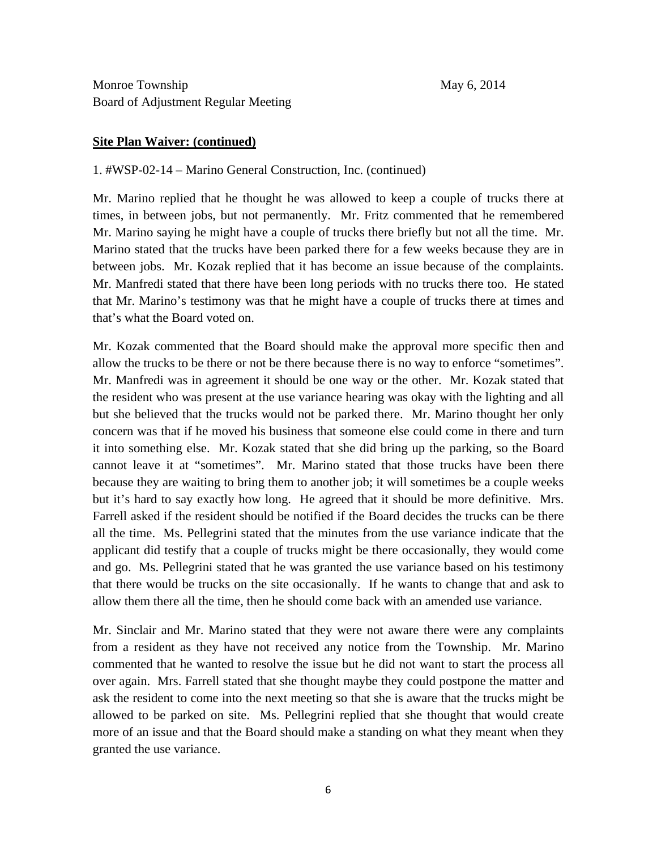### **Site Plan Waiver: (continued)**

### 1. #WSP-02-14 – Marino General Construction, Inc. (continued)

Mr. Marino replied that he thought he was allowed to keep a couple of trucks there at times, in between jobs, but not permanently. Mr. Fritz commented that he remembered Mr. Marino saying he might have a couple of trucks there briefly but not all the time. Mr. Marino stated that the trucks have been parked there for a few weeks because they are in between jobs. Mr. Kozak replied that it has become an issue because of the complaints. Mr. Manfredi stated that there have been long periods with no trucks there too. He stated that Mr. Marino's testimony was that he might have a couple of trucks there at times and that's what the Board voted on.

Mr. Kozak commented that the Board should make the approval more specific then and allow the trucks to be there or not be there because there is no way to enforce "sometimes". Mr. Manfredi was in agreement it should be one way or the other. Mr. Kozak stated that the resident who was present at the use variance hearing was okay with the lighting and all but she believed that the trucks would not be parked there. Mr. Marino thought her only concern was that if he moved his business that someone else could come in there and turn it into something else. Mr. Kozak stated that she did bring up the parking, so the Board cannot leave it at "sometimes". Mr. Marino stated that those trucks have been there because they are waiting to bring them to another job; it will sometimes be a couple weeks but it's hard to say exactly how long. He agreed that it should be more definitive. Mrs. Farrell asked if the resident should be notified if the Board decides the trucks can be there all the time. Ms. Pellegrini stated that the minutes from the use variance indicate that the applicant did testify that a couple of trucks might be there occasionally, they would come and go. Ms. Pellegrini stated that he was granted the use variance based on his testimony that there would be trucks on the site occasionally. If he wants to change that and ask to allow them there all the time, then he should come back with an amended use variance.

Mr. Sinclair and Mr. Marino stated that they were not aware there were any complaints from a resident as they have not received any notice from the Township. Mr. Marino commented that he wanted to resolve the issue but he did not want to start the process all over again. Mrs. Farrell stated that she thought maybe they could postpone the matter and ask the resident to come into the next meeting so that she is aware that the trucks might be allowed to be parked on site. Ms. Pellegrini replied that she thought that would create more of an issue and that the Board should make a standing on what they meant when they granted the use variance.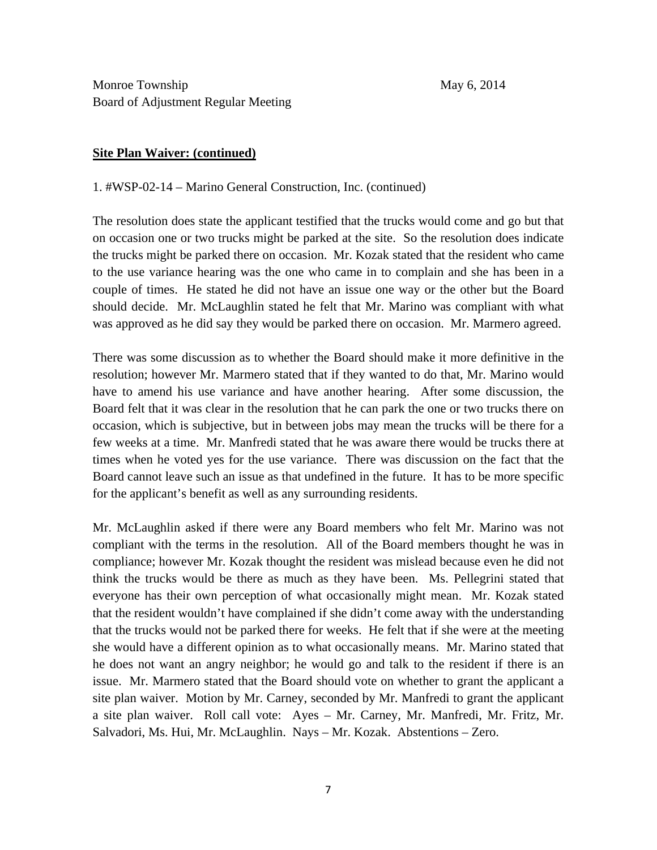### **Site Plan Waiver: (continued)**

1. #WSP-02-14 – Marino General Construction, Inc. (continued)

The resolution does state the applicant testified that the trucks would come and go but that on occasion one or two trucks might be parked at the site. So the resolution does indicate the trucks might be parked there on occasion. Mr. Kozak stated that the resident who came to the use variance hearing was the one who came in to complain and she has been in a couple of times. He stated he did not have an issue one way or the other but the Board should decide. Mr. McLaughlin stated he felt that Mr. Marino was compliant with what was approved as he did say they would be parked there on occasion. Mr. Marmero agreed.

There was some discussion as to whether the Board should make it more definitive in the resolution; however Mr. Marmero stated that if they wanted to do that, Mr. Marino would have to amend his use variance and have another hearing. After some discussion, the Board felt that it was clear in the resolution that he can park the one or two trucks there on occasion, which is subjective, but in between jobs may mean the trucks will be there for a few weeks at a time. Mr. Manfredi stated that he was aware there would be trucks there at times when he voted yes for the use variance. There was discussion on the fact that the Board cannot leave such an issue as that undefined in the future. It has to be more specific for the applicant's benefit as well as any surrounding residents.

Mr. McLaughlin asked if there were any Board members who felt Mr. Marino was not compliant with the terms in the resolution. All of the Board members thought he was in compliance; however Mr. Kozak thought the resident was mislead because even he did not think the trucks would be there as much as they have been. Ms. Pellegrini stated that everyone has their own perception of what occasionally might mean. Mr. Kozak stated that the resident wouldn't have complained if she didn't come away with the understanding that the trucks would not be parked there for weeks. He felt that if she were at the meeting she would have a different opinion as to what occasionally means. Mr. Marino stated that he does not want an angry neighbor; he would go and talk to the resident if there is an issue. Mr. Marmero stated that the Board should vote on whether to grant the applicant a site plan waiver. Motion by Mr. Carney, seconded by Mr. Manfredi to grant the applicant a site plan waiver. Roll call vote: Ayes – Mr. Carney, Mr. Manfredi, Mr. Fritz, Mr. Salvadori, Ms. Hui, Mr. McLaughlin. Nays – Mr. Kozak. Abstentions – Zero.